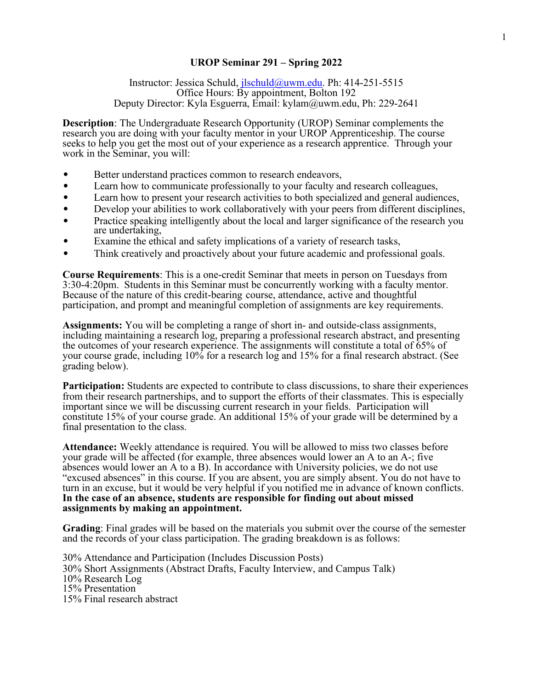## **UROP Seminar 291 – Spring 2022**

Instructor: Jessica Schuld, [jlschuld@uwm.edu.](mailto:jlschuld@uwm.edu) Ph: 414-251-5515 Office Hours: By appointment, Bolton 192 Deputy Director: Kyla Esguerra, Email: [kylam@uwm.edu,](mailto:kylam@uwm.edu) Ph: 229-2641

**Description**: The Undergraduate Research Opportunity (UROP) Seminar complements the research you are doing with your faculty mentor in your UROP Apprenticeship. The course seeks to help you get the most out of your experience as a research apprentice. Through your work in the Seminar, you will:

- Better understand practices common to research endeavors,
- Learn how to communicate professionally to your faculty and research colleagues,
- Learn how to present your research activities to both specialized and general audiences,
- Develop your abilities to work collaboratively with your peers from different disciplines,
- Practice speaking intelligently about the local and larger significance of the research you are undertaking,
- Examine the ethical and safety implications of a variety of research tasks,
- Think creatively and proactively about your future academic and professional goals.

**Course Requirements**: This is a one-credit Seminar that meets in person on Tuesdays from 3:30-4:20pm. Students in this Seminar must be concurrently working with a faculty mentor. Because of the nature of this credit-bearing course, attendance, active and thoughtful participation, and prompt and meaningful completion of assignments are key requirements.

**Assignments:** You will be completing a range of short in- and outside-class assignments, including maintaining a research log, preparing a professional research abstract, and presenting the outcomes of your research experience. The assignments will constitute a total of 65% of your course grade, including 10% for a research log and 15% for a final research abstract. (See grading below).

**Participation:** Students are expected to contribute to class discussions, to share their experiences from their research partnerships, and to support the efforts of their classmates. This is especially important since we will be discussing current research in your fields. Participation will constitute 15% of your course grade. An additional 15% of your grade will be determined by a final presentation to the class.

**Attendance:** Weekly attendance is required. You will be allowed to miss two classes before your grade will be affected (for example, three absences would lower an A to an A-; five absences would lower an A to a B). In accordance with University policies, we do not use "excused absences" in this course. If you are absent, you are simply absent. You do not have to turn in an excuse, but it would be very helpful if you notified me in advance of known conflicts. **In the case of an absence, students are responsible for finding out about missed assignments by making an appointment.**

**Grading**: Final grades will be based on the materials you submit over the course of the semester and the records of your class participation. The grading breakdown is as follows:

30% Attendance and Participation (Includes Discussion Posts) 30% Short Assignments (Abstract Drafts, Faculty Interview, and Campus Talk) 10% Research Log 15% Presentation 15% Final research abstract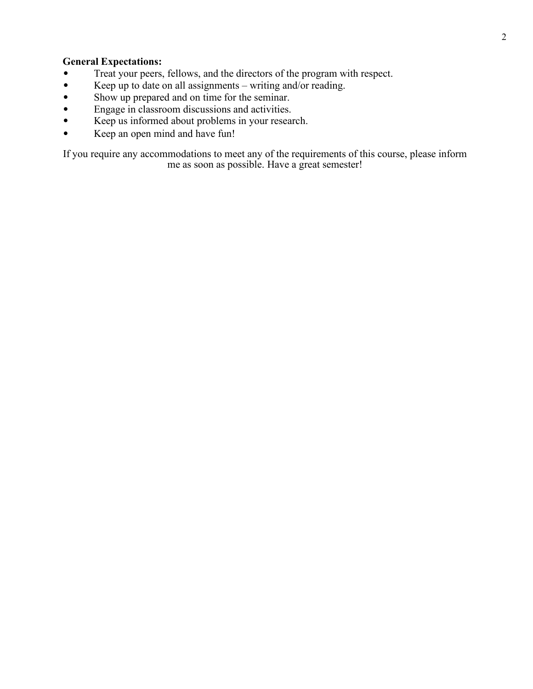## **General Expectations:**

- Treat your peers, fellows, and the directors of the program with respect.
- Keep up to date on all assignments writing and/or reading.
- Show up prepared and on time for the seminar.<br>• Engage in classroom discussions and activities.
- Engage in classroom discussions and activities.
- Keep us informed about problems in your research.
- Keep an open mind and have fun!

If you require any accommodations to meet any of the requirements of this course, please inform me as soon as possible. Have a great semester!